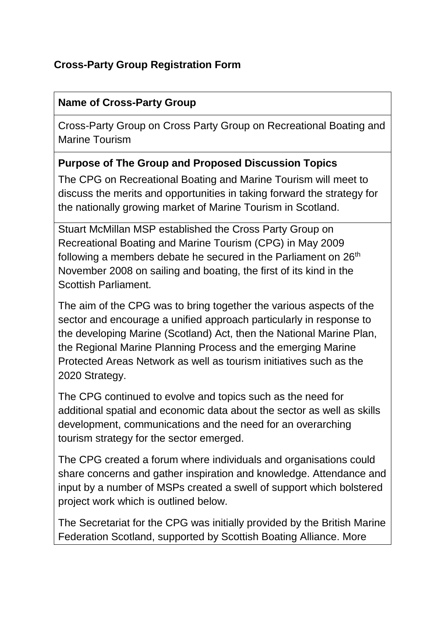## **Cross-Party Group Registration Form**

#### **Name of Cross-Party Group**

Cross-Party Group on Cross Party Group on Recreational Boating and Marine Tourism

#### **Purpose of The Group and Proposed Discussion Topics**

The CPG on Recreational Boating and Marine Tourism will meet to discuss the merits and opportunities in taking forward the strategy for the nationally growing market of Marine Tourism in Scotland.

Stuart McMillan MSP established the Cross Party Group on Recreational Boating and Marine Tourism (CPG) in May 2009 following a members debate he secured in the Parliament on  $26<sup>th</sup>$ November 2008 on sailing and boating, the first of its kind in the Scottish Parliament.

The aim of the CPG was to bring together the various aspects of the sector and encourage a unified approach particularly in response to the developing Marine (Scotland) Act, then the National Marine Plan, the Regional Marine Planning Process and the emerging Marine Protected Areas Network as well as tourism initiatives such as the 2020 Strategy.

The CPG continued to evolve and topics such as the need for additional spatial and economic data about the sector as well as skills development, communications and the need for an overarching tourism strategy for the sector emerged.

The CPG created a forum where individuals and organisations could share concerns and gather inspiration and knowledge. Attendance and input by a number of MSPs created a swell of support which bolstered project work which is outlined below.

The Secretariat for the CPG was initially provided by the British Marine Federation Scotland, supported by Scottish Boating Alliance. More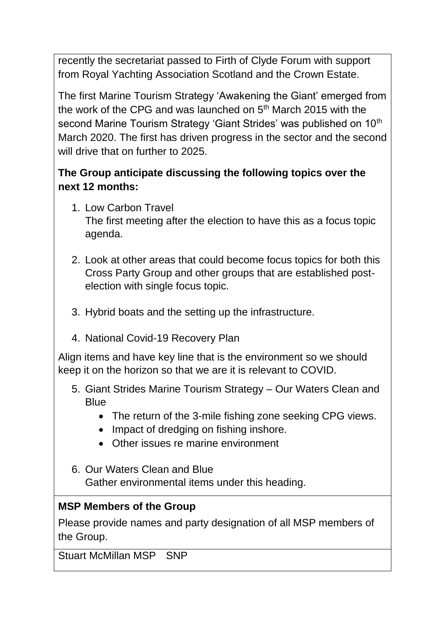recently the secretariat passed to Firth of Clyde Forum with support from Royal Yachting Association Scotland and the Crown Estate.

The first Marine Tourism Strategy 'Awakening the Giant' emerged from the work of the CPG and was launched on 5<sup>th</sup> March 2015 with the second Marine Tourism Strategy 'Giant Strides' was published on 10<sup>th</sup> March 2020. The first has driven progress in the sector and the second will drive that on further to 2025.

## **The Group anticipate discussing the following topics over the next 12 months:**

- 1. Low Carbon Travel The first meeting after the election to have this as a focus topic agenda.
- 2. Look at other areas that could become focus topics for both this Cross Party Group and other groups that are established postelection with single focus topic.
- 3. Hybrid boats and the setting up the infrastructure.
- 4. National Covid-19 Recovery Plan

Align items and have key line that is the environment so we should keep it on the horizon so that we are it is relevant to COVID.

- 5. Giant Strides Marine Tourism Strategy Our Waters Clean and **Blue** 
	- The return of the 3-mile fishing zone seeking CPG views.
	- Impact of dredging on fishing inshore.
	- Other issues re marine environment
- 6. Our Waters Clean and Blue Gather environmental items under this heading.

## **MSP Members of the Group**

Please provide names and party designation of all MSP members of the Group.

Stuart McMillan MSP SNP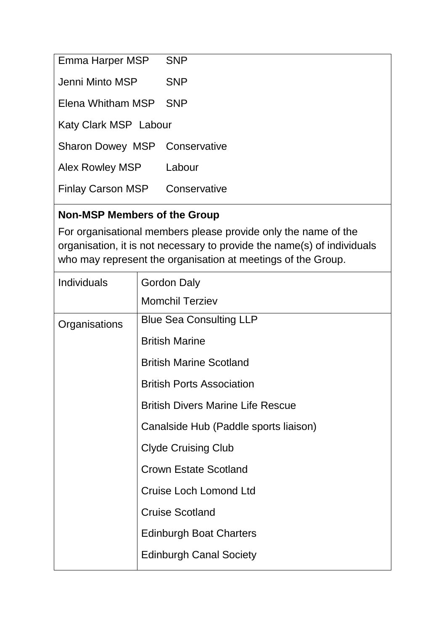| Emma Harper MSP               | <b>SNP</b>   |  |
|-------------------------------|--------------|--|
| Jenni Minto MSP               | <b>SNP</b>   |  |
| Elena Whitham MSP             | <b>SNP</b>   |  |
| Katy Clark MSP Labour         |              |  |
| Sharon Dowey MSP Conservative |              |  |
| Alex Rowley MSP               | Labour       |  |
| <b>Finlay Carson MSP</b>      | Conservative |  |

# **Non-MSP Members of the Group**

For organisational members please provide only the name of the organisation, it is not necessary to provide the name(s) of individuals who may represent the organisation at meetings of the Group.

| <b>Individuals</b> | <b>Gordon Daly</b>                       |
|--------------------|------------------------------------------|
|                    | <b>Momchil Terziev</b>                   |
| Organisations      | <b>Blue Sea Consulting LLP</b>           |
|                    | <b>British Marine</b>                    |
|                    | <b>British Marine Scotland</b>           |
|                    | <b>British Ports Association</b>         |
|                    | <b>British Divers Marine Life Rescue</b> |
|                    | Canalside Hub (Paddle sports liaison)    |
|                    | <b>Clyde Cruising Club</b>               |
|                    | <b>Crown Estate Scotland</b>             |
|                    | <b>Cruise Loch Lomond Ltd</b>            |
|                    | <b>Cruise Scotland</b>                   |
|                    | <b>Edinburgh Boat Charters</b>           |
|                    | <b>Edinburgh Canal Society</b>           |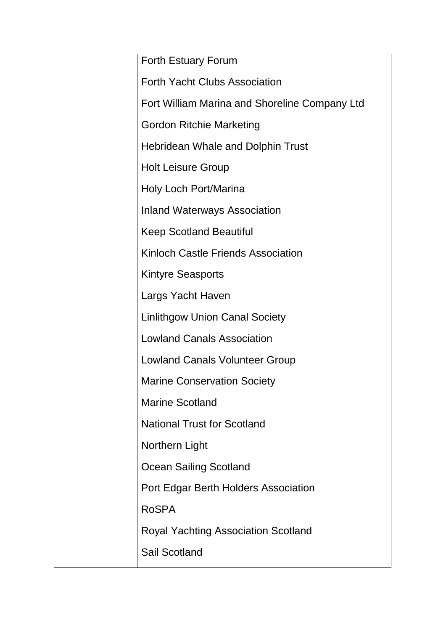| Forth Estuary Forum                           |
|-----------------------------------------------|
| <b>Forth Yacht Clubs Association</b>          |
| Fort William Marina and Shoreline Company Ltd |
| <b>Gordon Ritchie Marketing</b>               |
| <b>Hebridean Whale and Dolphin Trust</b>      |
| <b>Holt Leisure Group</b>                     |
| Holy Loch Port/Marina                         |
| <b>Inland Waterways Association</b>           |
| <b>Keep Scotland Beautiful</b>                |
| Kinloch Castle Friends Association            |
| <b>Kintyre Seasports</b>                      |
| Largs Yacht Haven                             |
| <b>Linlithgow Union Canal Society</b>         |
| <b>Lowland Canals Association</b>             |
| <b>Lowland Canals Volunteer Group</b>         |
| <b>Marine Conservation Society</b>            |
| <b>Marine Scotland</b>                        |
| <b>National Trust for Scotland</b>            |
| Northern Light                                |
| <b>Ocean Sailing Scotland</b>                 |
| Port Edgar Berth Holders Association          |
| <b>RoSPA</b>                                  |
| <b>Royal Yachting Association Scotland</b>    |
| <b>Sail Scotland</b>                          |
|                                               |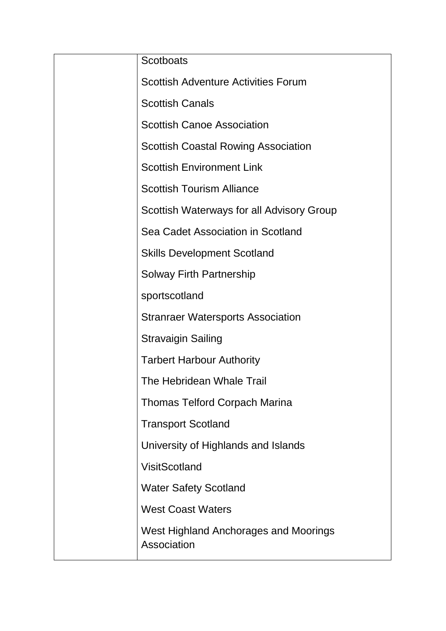| <b>Scotboats</b>                                     |
|------------------------------------------------------|
| <b>Scottish Adventure Activities Forum</b>           |
| <b>Scottish Canals</b>                               |
| <b>Scottish Canoe Association</b>                    |
| <b>Scottish Coastal Rowing Association</b>           |
| <b>Scottish Environment Link</b>                     |
| <b>Scottish Tourism Alliance</b>                     |
| Scottish Waterways for all Advisory Group            |
| Sea Cadet Association in Scotland                    |
| <b>Skills Development Scotland</b>                   |
| <b>Solway Firth Partnership</b>                      |
| sportscotland                                        |
| <b>Stranraer Watersports Association</b>             |
| <b>Stravaigin Sailing</b>                            |
| <b>Tarbert Harbour Authority</b>                     |
| The Hebridean Whale Trail                            |
| <b>Thomas Telford Corpach Marina</b>                 |
| <b>Transport Scotland</b>                            |
| University of Highlands and Islands                  |
| <b>VisitScotland</b>                                 |
| <b>Water Safety Scotland</b>                         |
| <b>West Coast Waters</b>                             |
| West Highland Anchorages and Moorings<br>Association |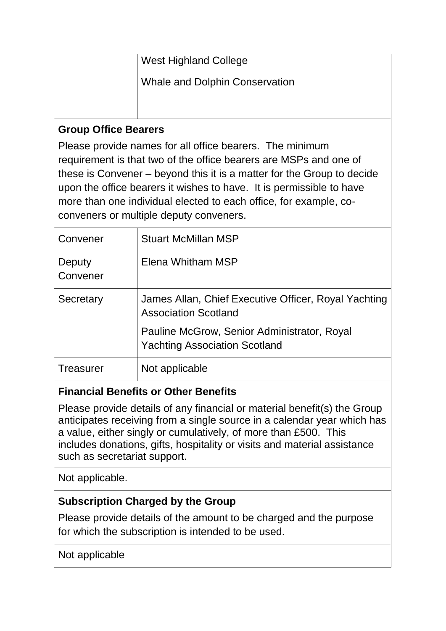| <b>West Highland College</b>          |
|---------------------------------------|
| <b>Whale and Dolphin Conservation</b> |
|                                       |

#### **Group Office Bearers**

Please provide names for all office bearers. The minimum requirement is that two of the office bearers are MSPs and one of these is Convener – beyond this it is a matter for the Group to decide upon the office bearers it wishes to have. It is permissible to have more than one individual elected to each office, for example, coconveners or multiple deputy conveners.

| Convener           | <b>Stuart McMillan MSP</b>                                                          |
|--------------------|-------------------------------------------------------------------------------------|
| Deputy<br>Convener | Elena Whitham MSP                                                                   |
| Secretary          | James Allan, Chief Executive Officer, Royal Yachting<br><b>Association Scotland</b> |
|                    | Pauline McGrow, Senior Administrator, Royal<br><b>Yachting Association Scotland</b> |
| Treasurer          | Not applicable                                                                      |

## **Financial Benefits or Other Benefits**

Please provide details of any financial or material benefit(s) the Group anticipates receiving from a single source in a calendar year which has a value, either singly or cumulatively, of more than £500. This includes donations, gifts, hospitality or visits and material assistance such as secretariat support.

Not applicable.

## **Subscription Charged by the Group**

Please provide details of the amount to be charged and the purpose for which the subscription is intended to be used.

Not applicable